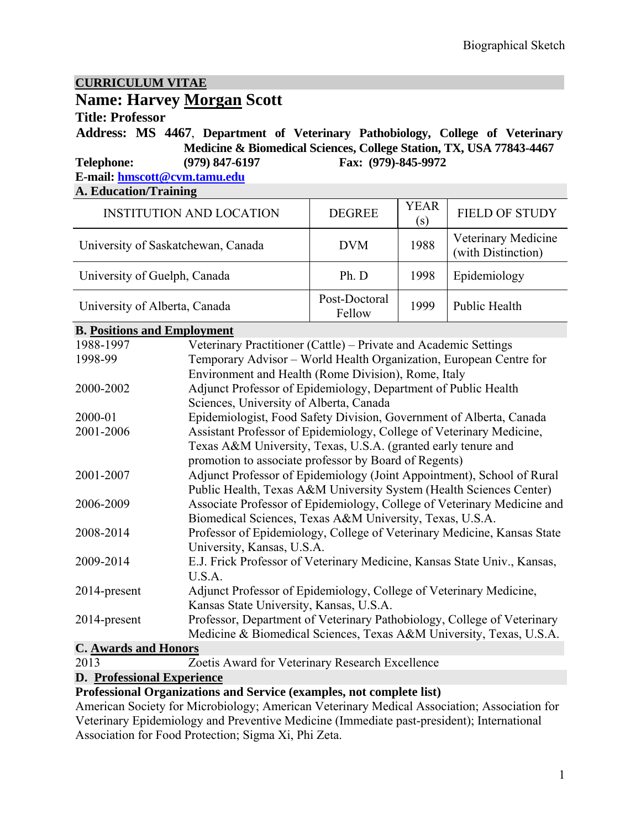## **CURRICULUM VITAE**

# **Name: Harvey Morgan Scott**

#### **Title: Professor**

#### **Address: MS 4467**, **Department of Veterinary Pathobiology, College of Veterinary Medicine & Biomedical Sciences, College Station, TX, USA 77843-4467 Telephone: (979) 847-6197 Fax: (979)-845-9972**

**E-mail: hmscott@cvm.tamu.edu** 

## **A. Education/Training**

| <b>INSTITUTION AND LOCATION</b>    | <b>DEGREE</b>           | <b>YEAR</b><br>(S) | <b>FIELD OF STUDY</b>                     |
|------------------------------------|-------------------------|--------------------|-------------------------------------------|
| University of Saskatchewan, Canada | <b>DVM</b>              | 1988               | Veterinary Medicine<br>(with Distinction) |
| University of Guelph, Canada       | Ph.D                    | 1998               | Epidemiology                              |
| University of Alberta, Canada      | Post-Doctoral<br>Fellow | 1999               | Public Health                             |

### **B. Positions and Employment**

| 1988-1997                   | Veterinary Practitioner (Cattle) - Private and Academic Settings         |
|-----------------------------|--------------------------------------------------------------------------|
| 1998-99                     | Temporary Advisor – World Health Organization, European Centre for       |
|                             | Environment and Health (Rome Division), Rome, Italy                      |
| 2000-2002                   | Adjunct Professor of Epidemiology, Department of Public Health           |
|                             | Sciences, University of Alberta, Canada                                  |
| 2000-01                     | Epidemiologist, Food Safety Division, Government of Alberta, Canada      |
| 2001-2006                   | Assistant Professor of Epidemiology, College of Veterinary Medicine,     |
|                             | Texas A&M University, Texas, U.S.A. (granted early tenure and            |
|                             | promotion to associate professor by Board of Regents)                    |
| 2001-2007                   | Adjunct Professor of Epidemiology (Joint Appointment), School of Rural   |
|                             | Public Health, Texas A&M University System (Health Sciences Center)      |
| 2006-2009                   | Associate Professor of Epidemiology, College of Veterinary Medicine and  |
|                             | Biomedical Sciences, Texas A&M University, Texas, U.S.A.                 |
| 2008-2014                   | Professor of Epidemiology, College of Veterinary Medicine, Kansas State  |
|                             | University, Kansas, U.S.A.                                               |
| 2009-2014                   | E.J. Frick Professor of Veterinary Medicine, Kansas State Univ., Kansas, |
|                             | U.S.A.                                                                   |
| 2014-present                | Adjunct Professor of Epidemiology, College of Veterinary Medicine,       |
|                             | Kansas State University, Kansas, U.S.A.                                  |
| 2014-present                | Professor, Department of Veterinary Pathobiology, College of Veterinary  |
|                             | Medicine & Biomedical Sciences, Texas A&M University, Texas, U.S.A.      |
| <b>C. Awards and Honors</b> |                                                                          |
| າດ12                        | Zootia Ayyard for Vatarius Francescale Expellence                        |

### 2013 Zoetis Award for Veterinary Research Excellence

# **D. Professional Experience**

### **Professional Organizations and Service (examples, not complete list)**

American Society for Microbiology; American Veterinary Medical Association; Association for Veterinary Epidemiology and Preventive Medicine (Immediate past-president); International Association for Food Protection; Sigma Xi, Phi Zeta.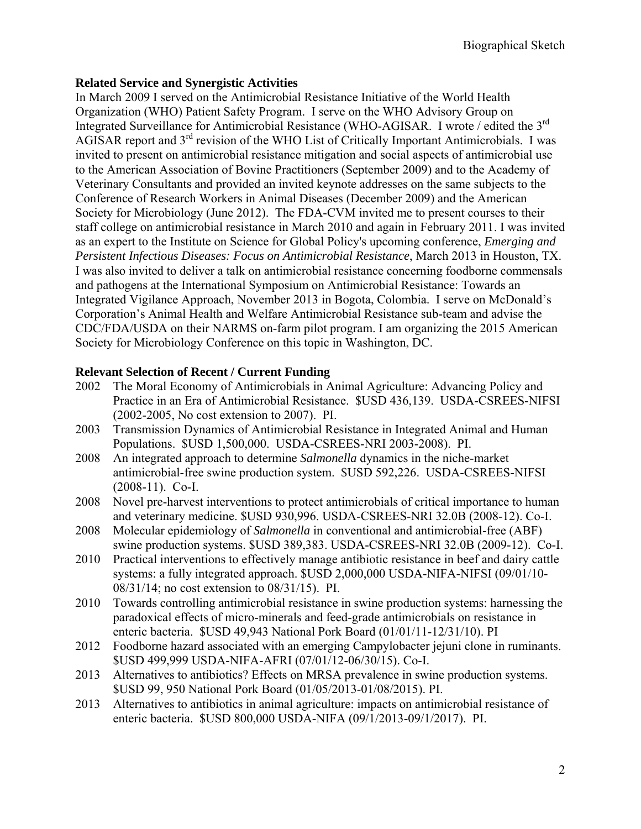#### **Related Service and Synergistic Activities**

In March 2009 I served on the Antimicrobial Resistance Initiative of the World Health Organization (WHO) Patient Safety Program. I serve on the WHO Advisory Group on Integrated Surveillance for Antimicrobial Resistance (WHO-AGISAR. I wrote / edited the 3<sup>rd</sup> AGISAR report and 3rd revision of the WHO List of Critically Important Antimicrobials. I was invited to present on antimicrobial resistance mitigation and social aspects of antimicrobial use to the American Association of Bovine Practitioners (September 2009) and to the Academy of Veterinary Consultants and provided an invited keynote addresses on the same subjects to the Conference of Research Workers in Animal Diseases (December 2009) and the American Society for Microbiology (June 2012). The FDA-CVM invited me to present courses to their staff college on antimicrobial resistance in March 2010 and again in February 2011. I was invited as an expert to the Institute on Science for Global Policy's upcoming conference, *Emerging and Persistent Infectious Diseases: Focus on Antimicrobial Resistance*, March 2013 in Houston, TX. I was also invited to deliver a talk on antimicrobial resistance concerning foodborne commensals and pathogens at the International Symposium on Antimicrobial Resistance: Towards an Integrated Vigilance Approach, November 2013 in Bogota, Colombia. I serve on McDonald's Corporation's Animal Health and Welfare Antimicrobial Resistance sub-team and advise the CDC/FDA/USDA on their NARMS on-farm pilot program. I am organizing the 2015 American Society for Microbiology Conference on this topic in Washington, DC.

#### **Relevant Selection of Recent / Current Funding**

- 2002 The Moral Economy of Antimicrobials in Animal Agriculture: Advancing Policy and Practice in an Era of Antimicrobial Resistance. \$USD 436,139. USDA-CSREES-NIFSI (2002-2005, No cost extension to 2007). PI.
- 2003 Transmission Dynamics of Antimicrobial Resistance in Integrated Animal and Human Populations. \$USD 1,500,000. USDA-CSREES-NRI 2003-2008). PI.
- 2008 An integrated approach to determine *Salmonella* dynamics in the niche-market antimicrobial-free swine production system. \$USD 592,226. USDA-CSREES-NIFSI (2008-11). Co-I.
- 2008 Novel pre-harvest interventions to protect antimicrobials of critical importance to human and veterinary medicine. \$USD 930,996. USDA-CSREES-NRI 32.0B (2008-12). Co-I.
- 2008 Molecular epidemiology of *Salmonella* in conventional and antimicrobial-free (ABF) swine production systems. \$USD 389,383. USDA-CSREES-NRI 32.0B (2009-12). Co-I.
- 2010 Practical interventions to effectively manage antibiotic resistance in beef and dairy cattle systems: a fully integrated approach. \$USD 2,000,000 USDA-NIFA-NIFSI (09/01/10- 08/31/14; no cost extension to 08/31/15). PI.
- 2010 Towards controlling antimicrobial resistance in swine production systems: harnessing the paradoxical effects of micro-minerals and feed-grade antimicrobials on resistance in enteric bacteria. \$USD 49,943 National Pork Board (01/01/11-12/31/10). PI
- 2012 Foodborne hazard associated with an emerging Campylobacter jejuni clone in ruminants. \$USD 499,999 USDA-NIFA-AFRI (07/01/12-06/30/15). Co-I.
- 2013 Alternatives to antibiotics? Effects on MRSA prevalence in swine production systems. \$USD 99, 950 National Pork Board (01/05/2013-01/08/2015). PI.
- 2013 Alternatives to antibiotics in animal agriculture: impacts on antimicrobial resistance of enteric bacteria. \$USD 800,000 USDA-NIFA (09/1/2013-09/1/2017). PI.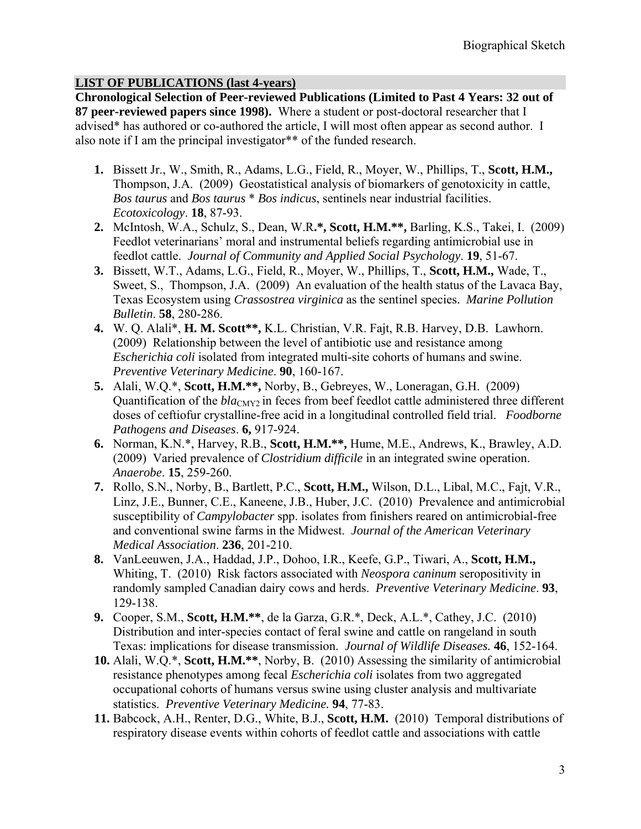### **LIST OF PUBLICATIONS (last 4-years)**

**Chronological Selection of Peer-reviewed Publications (Limited to Past 4 Years: 32 out of 87 peer-reviewed papers since 1998).** Where a student or post-doctoral researcher that I advised\* has authored or co-authored the article, I will most often appear as second author. I also note if I am the principal investigator\*\* of the funded research.

- **1.** Bissett Jr., W., Smith, R., Adams, L.G., Field, R., Moyer, W., Phillips, T., **Scott, H.M.,** Thompson, J.A. (2009) Geostatistical analysis of biomarkers of genotoxicity in cattle, *Bos taurus* and *Bos taurus* \* *Bos indicus*, sentinels near industrial facilities. *Ecotoxicology*. **18**, 87-93.
- **2.** McIntosh, W.A., Schulz, S., Dean, W.R**.\*, Scott, H.M.\*\*,** Barling, K.S., Takei, I. (2009) Feedlot veterinarians' moral and instrumental beliefs regarding antimicrobial use in feedlot cattle. *Journal of Community and Applied Social Psychology*. **19**, 51-67.
- **3.** Bissett, W.T., Adams, L.G., Field, R., Moyer, W., Phillips, T., **Scott, H.M.,** Wade, T., Sweet, S., Thompson, J.A. (2009) An evaluation of the health status of the Lavaca Bay, Texas Ecosystem using *Crassostrea virginica* as the sentinel species. *Marine Pollution Bulletin*. **58**, 280-286.
- **4.** W. Q. Alali\*, **H. M. Scott\*\*,** K.L. Christian, V.R. Fajt, R.B. Harvey, D.B. Lawhorn. (2009) Relationship between the level of antibiotic use and resistance among *Escherichia coli* isolated from integrated multi-site cohorts of humans and swine. *Preventive Veterinary Medicine*. **90**, 160-167.
- **5.** Alali, W.Q.\*, **Scott, H.M.\*\*,** Norby, B., Gebreyes, W., Loneragan, G.H. (2009) Quantification of the *bla*<sub>CMY2</sub> in feces from beef feedlot cattle administered three different doses of ceftiofur crystalline-free acid in a longitudinal controlled field trial. *Foodborne Pathogens and Diseases*. **6,** 917-924.
- **6.** Norman, K.N.\*, Harvey, R.B., **Scott, H.M.\*\*,** Hume, M.E., Andrews, K., Brawley, A.D. (2009) Varied prevalence of *Clostridium difficile* in an integrated swine operation. *Anaerobe*. **15**, 259-260.
- **7.** Rollo, S.N., Norby, B., Bartlett, P.C., **Scott, H.M.,** Wilson, D.L., Libal, M.C., Fajt, V.R., Linz, J.E., Bunner, C.E., Kaneene, J.B., Huber, J.C. (2010) Prevalence and antimicrobial susceptibility of *Campylobacter* spp. isolates from finishers reared on antimicrobial-free and conventional swine farms in the Midwest. *Journal of the American Veterinary Medical Association*. **236**, 201-210.
- **8.** VanLeeuwen, J.A., Haddad, J.P., Dohoo, I.R., Keefe, G.P., Tiwari, A., **Scott, H.M.,** Whiting, T. (2010) Risk factors associated with *Neospora caninum* seropositivity in randomly sampled Canadian dairy cows and herds. *Preventive Veterinary Medicine*. **93**, 129-138.
- **9.** Cooper, S.M., **Scott, H.M.\*\***, de la Garza, G.R.\*, Deck, A.L.\*, Cathey, J.C. (2010) Distribution and inter-species contact of feral swine and cattle on rangeland in south Texas: implications for disease transmission. *Journal of Wildlife Diseases.* **46**, 152-164.
- **10.** Alali, W.Q.\*, **Scott, H.M.\*\***, Norby, B. (2010) Assessing the similarity of antimicrobial resistance phenotypes among fecal *Escherichia coli* isolates from two aggregated occupational cohorts of humans versus swine using cluster analysis and multivariate statistics. *Preventive Veterinary Medicine.* **94**, 77-83.
- **11.** Babcock, A.H., Renter, D.G., White, B.J., **Scott, H.M.** (2010) Temporal distributions of respiratory disease events within cohorts of feedlot cattle and associations with cattle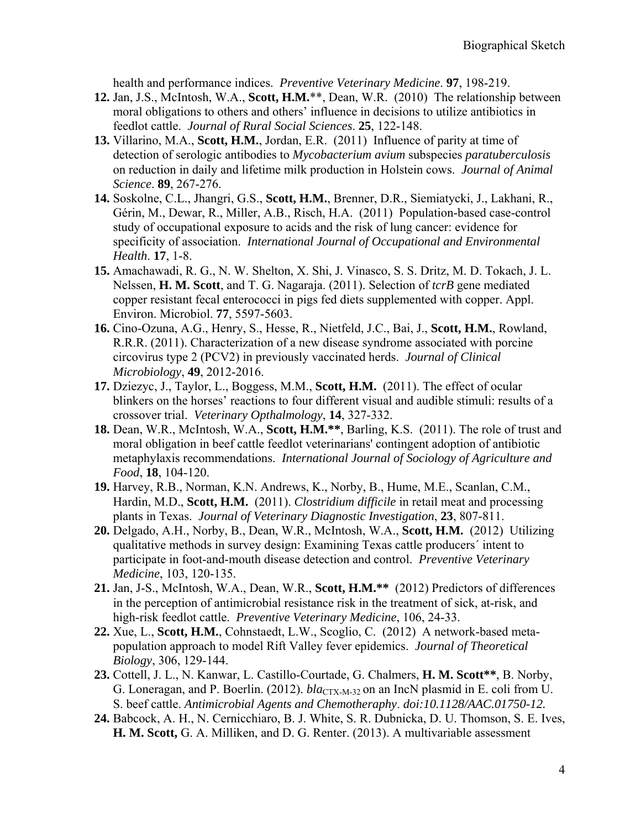health and performance indices. *Preventive Veterinary Medicine*. **97**, 198-219.

- **12.** Jan, J.S., McIntosh, W.A., **Scott, H.M.**\*\*, Dean, W.R. (2010) The relationship between moral obligations to others and others' influence in decisions to utilize antibiotics in feedlot cattle. *Journal of Rural Social Sciences*. **25**, 122-148.
- **13.** Villarino, M.A., **Scott, H.M.**, Jordan, E.R. (2011) Influence of parity at time of detection of serologic antibodies to *Mycobacterium avium* subspecies *paratuberculosis*  on reduction in daily and lifetime milk production in Holstein cows. *Journal of Animal Science*. **89**, 267-276.
- **14.** Soskolne, C.L., Jhangri, G.S., **Scott, H.M.**, Brenner, D.R., Siemiatycki, J., Lakhani, R., Gérin, M., Dewar, R., Miller, A.B., Risch, H.A. (2011) Population-based case-control study of occupational exposure to acids and the risk of lung cancer: evidence for specificity of association. *International Journal of Occupational and Environmental Health*. **17**, 1-8.
- **15.** Amachawadi, R. G., N. W. Shelton, X. Shi, J. Vinasco, S. S. Dritz, M. D. Tokach, J. L. Nelssen, **H. M. Scott**, and T. G. Nagaraja. (2011). Selection of *tcrB* gene mediated copper resistant fecal enterococci in pigs fed diets supplemented with copper. Appl. Environ. Microbiol. **77**, 5597-5603.
- **16.** Cino-Ozuna, A.G., Henry, S., Hesse, R., Nietfeld, J.C., Bai, J., **Scott, H.M.**, Rowland, R.R.R. (2011). Characterization of a new disease syndrome associated with porcine circovirus type 2 (PCV2) in previously vaccinated herds. *Journal of Clinical Microbiology*, **49**, 2012-2016.
- **17.** Dziezyc, J., Taylor, L., Boggess, M.M., **Scott, H.M.** (2011). The effect of ocular blinkers on the horses' reactions to four different visual and audible stimuli: results of a crossover trial. *Veterinary Opthalmology*, **14**, 327-332.
- **18.** Dean, W.R., McIntosh, W.A., **Scott, H.M.\*\***, Barling, K.S. (2011). The role of trust and moral obligation in beef cattle feedlot veterinarians' contingent adoption of antibiotic metaphylaxis recommendations. *International Journal of Sociology of Agriculture and Food*, **18**, 104-120.
- **19.** Harvey, R.B., Norman, K.N. Andrews, K., Norby, B., Hume, M.E., Scanlan, C.M., Hardin, M.D., **Scott, H.M.** (2011). *Clostridium difficile* in retail meat and processing plants in Texas. *Journal of Veterinary Diagnostic Investigation*, **23**, 807-811.
- **20.** Delgado, A.H., Norby, B., Dean, W.R., McIntosh, W.A., **Scott, H.M.** (2012) Utilizing qualitative methods in survey design: Examining Texas cattle producers´ intent to participate in foot-and-mouth disease detection and control. *Preventive Veterinary Medicine*, 103, 120-135.
- **21.** Jan, J-S., McIntosh, W.A., Dean, W.R., **Scott, H.M.\*\*** (2012) Predictors of differences in the perception of antimicrobial resistance risk in the treatment of sick, at-risk, and high-risk feedlot cattle. *Preventive Veterinary Medicine*, 106, 24-33.
- **22.** Xue, L., **Scott, H.M.**, Cohnstaedt, L.W., Scoglio, C. (2012) A network-based metapopulation approach to model Rift Valley fever epidemics. *Journal of Theoretical Biology*, 306, 129-144.
- **23.** Cottell, J. L., N. Kanwar, L. Castillo-Courtade, G. Chalmers, **H. M. Scott\*\***, B. Norby, G. Loneragan, and P. Boerlin. (2012). *bla*<sub>CTX-M-32</sub> on an IncN plasmid in E. coli from U. S. beef cattle. *Antimicrobial Agents and Chemotheraphy*. *doi:10.1128/AAC.01750-12.*
- **24.** Babcock, A. H., N. Cernicchiaro, B. J. White, S. R. Dubnicka, D. U. Thomson, S. E. Ives, **H. M. Scott,** G. A. Milliken, and D. G. Renter. (2013). A multivariable assessment